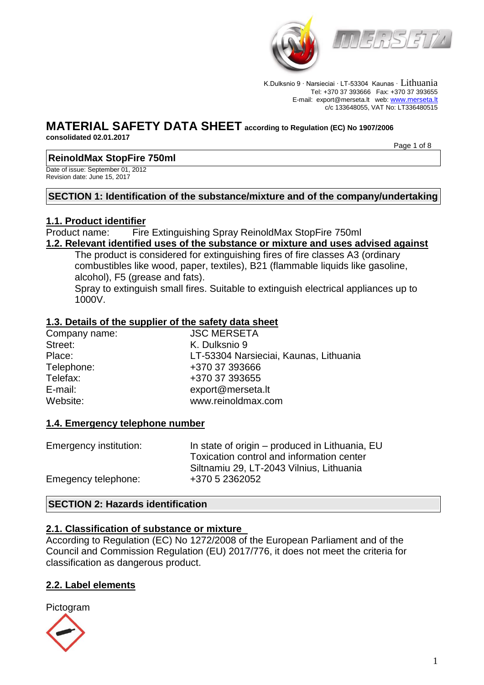

K.Dulksnio 9 · Narsieciai · LT-53304 Kaunas · Lithuania Tel: +370 37 393666 Fax: +370 37 393655 E-mail: export@merseta.lt web: [www.merseta.lt](http://www.merseta.lt/) c/c 133648055, VAT No: LT336480515

# **MATERIAL SAFETY DATA SHEET according to Regulation (EC) No 1907/2006**

**consolidated 02.01.2017** 

Page 1 of 8

# **ReinoldMax StopFire 750ml**

Date of issue: September 01, 2012 Revision date: June 15, 2017

# **SECTION 1: Identification of the substance/mixture and of the company/undertaking**

# **1.1. Product identifier**

Product name: Fire Extinguishing Spray ReinoldMax StopFire 750ml **1.2. Relevant identified uses of the substance or mixture and uses advised against**

The product is considered for extinguishing fires of fire classes A3 (ordinary combustibles like wood, paper, textiles), B21 (flammable liquids like gasoline,

alcohol), F5 (grease and fats). Spray to extinguish small fires. Suitable to extinguish electrical appliances up to 1000V.

# **1.3. Details of the supplier of the safety data sheet**

| Company name: | <b>JSC MERSETA</b>                     |
|---------------|----------------------------------------|
| Street:       | K. Dulksnio 9                          |
| Place:        | LT-53304 Narsieciai, Kaunas, Lithuania |
| Telephone:    | +370 37 393666                         |
| Telefax:      | +370 37 393655                         |
| E-mail:       | export@merseta.lt                      |
| Website:      | www.reinoldmax.com                     |
|               |                                        |

# **1.4. Emergency telephone number**

| In state of origin – produced in Lithuania, EU |
|------------------------------------------------|
| Toxication control and information center      |
| Siltnamiu 29, LT-2043 Vilnius, Lithuania       |
| +370 5 2362052                                 |
|                                                |

# **SECTION 2: Hazards identification**

# **2.1. Classification of substance or mixture**

According to Regulation (EC) No 1272/2008 of the European Parliament and of the Council and Commission Regulation (EU) 2017/776, it does not meet the criteria for classification as dangerous product.

# **2.2. Label elements**

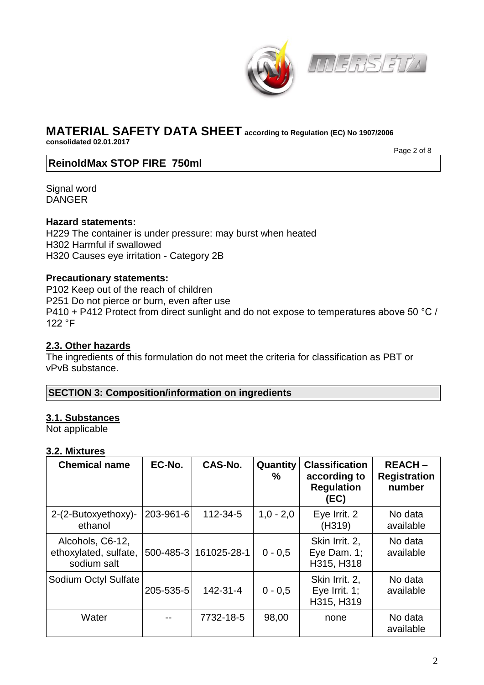



**consolidated 02.01.2017** 

Page 2 of 8

# **ReinoldMax STOP FIRE 750ml**

Signal word DANGER

# **Hazard statements:**

H229 The container is under pressure: may burst when heated H302 Harmful if swallowed H320 Causes eye irritation - Category 2B

# **Precautionary statements:**

P102 Keep out of the reach of children P251 Do not pierce or burn, even after use P410 + P412 Protect from direct sunlight and do not expose to temperatures above 50 °C / 122 °F

# **2.3. Other hazards**

The ingredients of this formulation do not meet the criteria for classification as PBT or vPvB substance.

**SECTION 3: Composition/information on ingredients**

# **3.1. Substances**

Not applicable

# **3.2. Mixtures**

| <b>Chemical name</b>                                     | EC-No.    | CAS-No.               | Quantity<br>℅ | <b>Classification</b><br>according to<br><b>Regulation</b><br>(EC) | <b>REACH-</b><br><b>Registration</b><br>number |
|----------------------------------------------------------|-----------|-----------------------|---------------|--------------------------------------------------------------------|------------------------------------------------|
| 2-(2-Butoxyethoxy)-<br>ethanol                           | 203-961-6 | 112-34-5              | $1,0 - 2,0$   | Eye Irrit. 2<br>(H319)                                             | No data<br>available                           |
| Alcohols, C6-12,<br>ethoxylated, sulfate,<br>sodium salt |           | 500-485-3 161025-28-1 | $0 - 0.5$     | Skin Irrit. 2,<br>Eye Dam. 1;<br>H315, H318                        | No data<br>available                           |
| Sodium Octyl Sulfate                                     | 205-535-5 | 142-31-4              | $0 - 0,5$     | Skin Irrit. 2,<br>Eye Irrit. $1$ ;<br>H315, H319                   | No data<br>available                           |
| Water                                                    |           | 7732-18-5             | 98,00         | none                                                               | No data<br>available                           |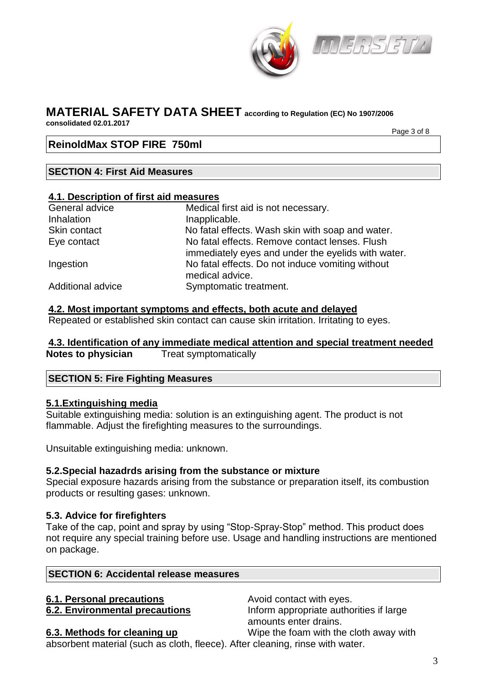

#### **MATERIAL SAFETY DATA SHEET according to Regulation (EC) No 1907/2006 consolidated 02.01.2017**

Page 3 of 8

# **ReinoldMax STOP FIRE 750ml**

# **SECTION 4: First Aid Measures**

#### **4.1. Description of first aid measures**

| General advice    | Medical first aid is not necessary.                                                                  |
|-------------------|------------------------------------------------------------------------------------------------------|
| <b>Inhalation</b> | Inapplicable.                                                                                        |
| Skin contact      | No fatal effects. Wash skin with soap and water.                                                     |
| Eye contact       | No fatal effects. Remove contact lenses. Flush<br>immediately eyes and under the eyelids with water. |
| Ingestion         | No fatal effects. Do not induce vomiting without<br>medical advice.                                  |
| Additional advice | Symptomatic treatment.                                                                               |

#### **4.2. Most important symptoms and effects, both acute and delayed**

Repeated or established skin contact can cause skin irritation. Irritating to eyes.

# **4.3. Identification of any immediate medical attention and special treatment needed Notes to physician** Treat symptomatically

# **SECTION 5: Fire Fighting Measures**

# **5.1.Extinguishing media**

Suitable extinguishing media: solution is an extinguishing agent. The product is not flammable. Adjust the firefighting measures to the surroundings.

Unsuitable extinguishing media: unknown.

# **5.2.Special hazadrds arising from the substance or mixture**

Special exposure hazards arising from the substance or preparation itself, its combustion products or resulting gases: unknown.

# **5.3. Advice for firefighters**

Take of the cap, point and spray by using "Stop-Spray-Stop" method. This product does not require any special training before use. Usage and handling instructions are mentioned on package.

# **SECTION 6: Accidental release measures**

# **6.1. Personal precautions Avoid contact with eyes.**

**6.2. Environmental precautions Inform appropriate authorities if large** amounts enter drains.

**6.3. Methods for cleaning up** Wipe the foam with the cloth away with absorbent material (such as cloth, fleece). After cleaning, rinse with water.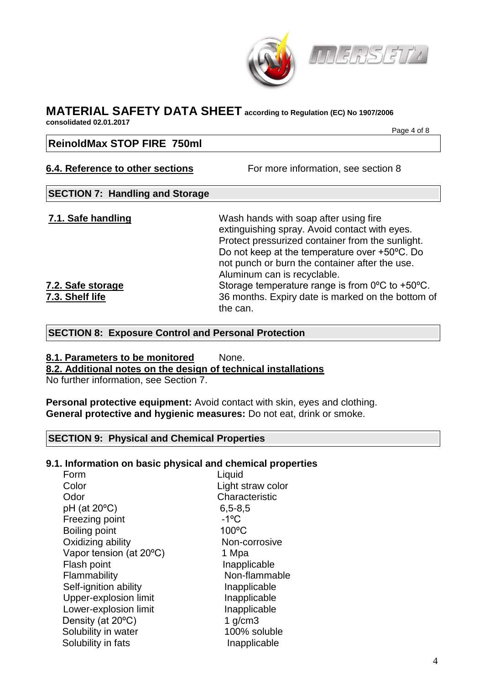

**consolidated 02.01.2017** 

Page 4 of 8

# **ReinoldMax STOP FIRE 750ml**

# **6.4. Reference to other sections** For more information, see section 8

# **SECTION 7: Handling and Storage**

**7.1. Safe handling** Wash hands with soap after using fire extinguishing spray. Avoid contact with eyes. Protect pressurized container from the sunlight. Do not keep at the temperature over +50ºC. Do not punch or burn the container after the use. Aluminum can is recyclable. **7.2. Safe storage** Storage temperature range is from 0<sup>o</sup>C to +50<sup>o</sup>C. **7.3. Shelf life** 36 months. Expiry date is marked on the bottom of the can.

# **SECTION 8: Exposure Control and Personal Protection**

# **8.1. Parameters to be monitored** None. **8.2. Additional notes on the design of technical installations**

No further information, see Section 7.

**Personal protective equipment:** Avoid contact with skin, eyes and clothing. **General protective and hygienic measures:** Do not eat, drink or smoke.

# **SECTION 9: Physical and Chemical Properties**

# **9.1. Information on basic physical and chemical properties**

| Form                      | Liquid              |
|---------------------------|---------------------|
| Color                     | Light straw color   |
| Odor                      | Characteristic      |
| $pH$ (at 20 $^{\circ}C$ ) | $6, 5 - 8, 5$       |
| Freezing point            | $-1$ <sup>o</sup> C |
| <b>Boiling point</b>      | 100°C               |
| Oxidizing ability         | Non-corrosive       |
| Vapor tension (at 20°C)   | 1 Mpa               |
| Flash point               | Inapplicable        |
| Flammability              | Non-flammable       |
| Self-ignition ability     | Inapplicable        |
| Upper-explosion limit     | Inapplicable        |
| Lower-explosion limit     | Inapplicable        |
| Density (at 20°C)         | 1 $g/cm3$           |
| Solubility in water       | 100% soluble        |
| Solubility in fats        | Inapplicable        |
|                           |                     |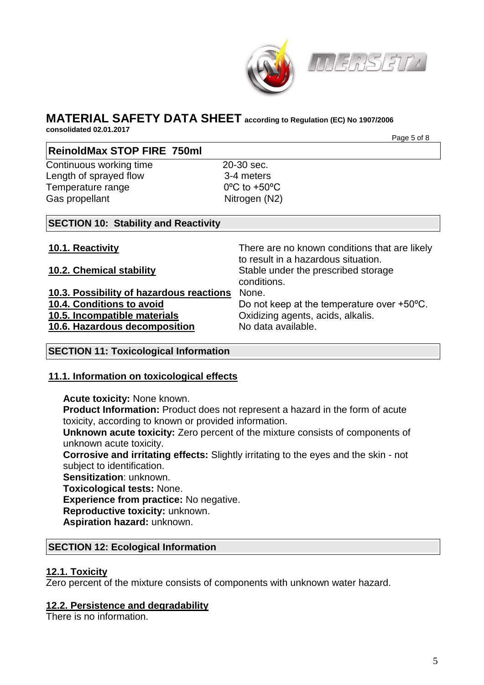



**consolidated 02.01.2017** Page 5 of 8

# **ReinoldMax STOP FIRE 750ml**

Continuous working time 20-30 sec. Length of sprayed flow 3-4 meters Temperature range 0<sup>o</sup>C to +50<sup>o</sup>C Gas propellant Nitrogen (N2)

# **SECTION 10: Stability and Reactivity**

**10.1. Reactivity** There are no known conditions that are likely to result in a hazardous situation. **10.2. Chemical stability** Stable under the prescribed storage conditions. **10.3. Possibility of hazardous reactions** None. **10.4. Conditions to avoid** Do not keep at the temperature over +50<sup>o</sup>C. **10.5. Incompatible materials** Oxidizing agents, acids, alkalis. **10.6. Hazardous decomposition** No data available.

# **SECTION 11: Toxicological Information**

# **11.1. Information on toxicological effects**

# **Acute toxicity:** None known.

**Product Information:** Product does not represent a hazard in the form of acute toxicity, according to known or provided information.

**Unknown acute toxicity:** Zero percent of the mixture consists of components of unknown acute toxicity.

**Corrosive and irritating effects:** Slightly irritating to the eyes and the skin - not subject to identification.

**Sensitization**: unknown.

**Toxicological tests:** None.

**Experience from practice:** No negative.

**Reproductive toxicity:** unknown.

**Aspiration hazard:** unknown.

# **SECTION 12: Ecological Information**

# **12.1. Toxicity**

Zero percent of the mixture consists of components with unknown water hazard.

# **12.2. Persistence and degradability**

There is no information.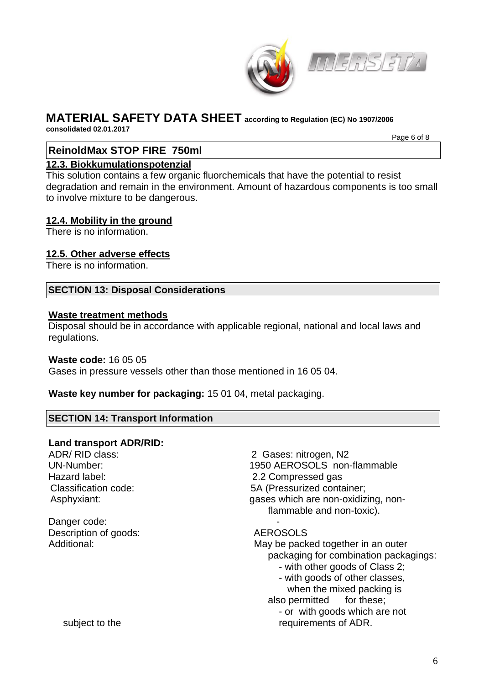

**consolidated 02.01.2017** 

Page 6 of 8

# **ReinoldMax STOP FIRE 750ml**

# **12.3. Biokkumulationspotenzial**

This solution contains a few organic fluorchemicals that have the potential to resist degradation and remain in the environment. Amount of hazardous components is too small to involve mixture to be dangerous.

# **12.4. Mobility in the ground**

There is no information.

# **12.5. Other adverse effects**

There is no information.

#### **SECTION 13: Disposal Considerations**

#### **Waste treatment methods**

Disposal should be in accordance with applicable regional, national and local laws and regulations.

#### **Waste code:** 16 05 05

Gases in pressure vessels other than those mentioned in 16 05 04.

**Waste key number for packaging:** 15 01 04, metal packaging.

# **SECTION 14: Transport Information**

# **Land transport ADR/RID:**

| ADR/RID class:<br>UN-Number: | 2 Gases: nitrogen, N2<br>1950 AEROSOLS non-flammable |
|------------------------------|------------------------------------------------------|
| Hazard label:                | 2.2 Compressed gas                                   |
| Classification code:         | 5A (Pressurized container;                           |
| Asphyxiant:                  | gases which are non-oxidizing, non-                  |
|                              | flammable and non-toxic).                            |
| Danger code:                 |                                                      |
| Description of goods:        | <b>AEROSOLS</b>                                      |
| Additional:                  | May be packed together in an outer                   |
|                              | packaging for combination packagings:                |
|                              | - with other goods of Class 2;                       |
|                              | - with goods of other classes,                       |
|                              | when the mixed packing is                            |
|                              | also permitted for these;                            |
|                              | - or with goods which are not                        |
| subject to the               | requirements of ADR.                                 |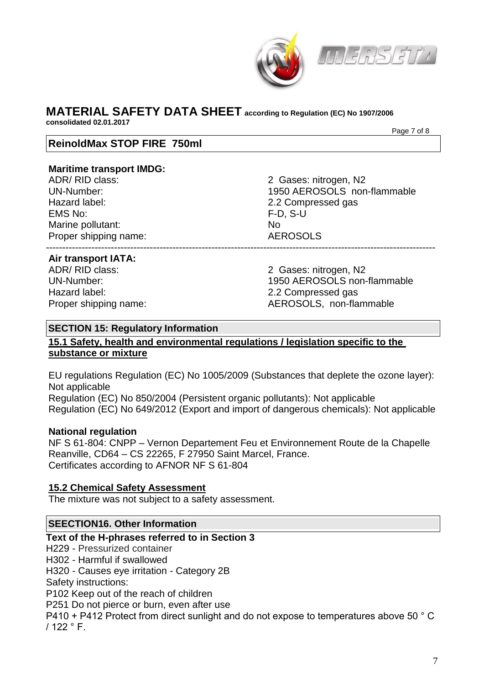

# **MATERIAL SAFETY DATA SHEET according to Regulation (EC) No 1907/2006 consolidated 02.01.2017**

Page 7 of 8

# **ReinoldMax STOP FIRE 750ml**

#### **Maritime transport IMDG:**

Hazard label: 2.2 Compressed gas EMS No: F-D, S-U Marine pollutant: No Proper shipping name: AEROSOLS ------------------------------------------------------------------------------------------------------------------------

ADR/ RID class: 2 Gases: nitrogen, N2 UN-Number: 1950 AEROSOLS non-flammable

#### **Air transport IATA:**

Hazard label: 2.2 Compressed gas

ADR/ RID class: 2 Gases: nitrogen, N2 UN-Number: 1950 AEROSOLS non-flammable Proper shipping name: AEROSOLS, non-flammable

#### **SECTION 15: Regulatory Information**

# **15.1 Safety, health and environmental regulations / legislation specific to the substance or mixture**

EU regulations Regulation (EC) No 1005/2009 (Substances that deplete the ozone layer): Not applicable Regulation (EC) No 850/2004 (Persistent organic pollutants): Not applicable

Regulation (EC) No 649/2012 (Export and import of dangerous chemicals): Not applicable

# **National regulation**

NF S 61-804: CNPP – Vernon Departement Feu et Environnement Route de la Chapelle Reanville, CD64 – CS 22265, F 27950 Saint Marcel, France. Certificates according to AFNOR NF S 61-804

# **15.2 Chemical Safety Assessment**

The mixture was not subject to a safety assessment.

# **SEECTION16. Other Information**

# **Text of the H-phrases referred to in Section 3**

H229 - Pressurized container

H302 - Harmful if swallowed

H320 - Causes eye irritation - Category 2B

Safety instructions:

P102 Keep out of the reach of children

P251 Do not pierce or burn, even after use

P410 + P412 Protect from direct sunlight and do not expose to temperatures above 50 ° C / 122 ° F.